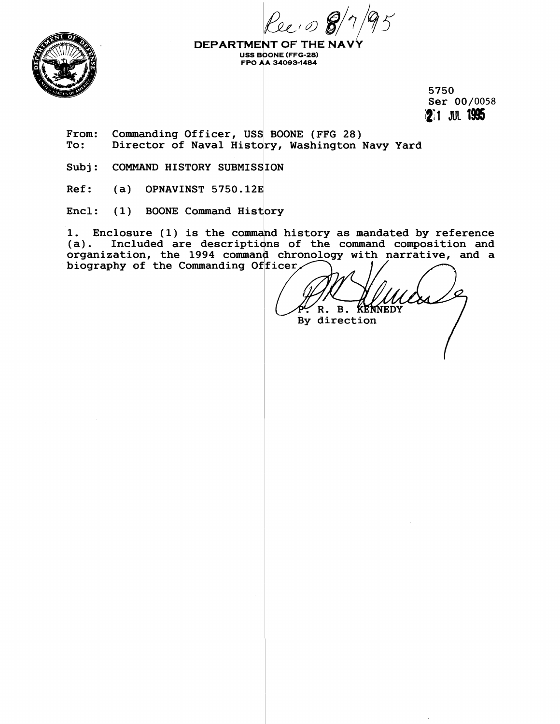**FPO** ! **A 34093-1484** 



**DEPARTMENT OF THE NA USS BOONE (FFG-28)**<br>FPO AA 34093-1484

> **5750 Ser 00/0058 12** 1 JUL 1995

From: Commanding Officer, USS BOONE (FFG 28)<br>To: Director of Naval History, Washington 1 **To: Dlirector of Naval History, Washington Navy Yard** 

Subj: COMMAND HISTORY SUBMISSION

**Ref: (a) OPNAVINST 5750.123** 

Encl: (1) BOONE Command History

1. Enclosure (1) is the command history as mandated by reference (a). Included are descriptions of the command composition and Included are descriptions of the command composition and organization, the 1994 command chronology with narrative, and a biography of the Commanding Officer,

**B.**  $\mathbf{R}$ . **KENNEDY** By direction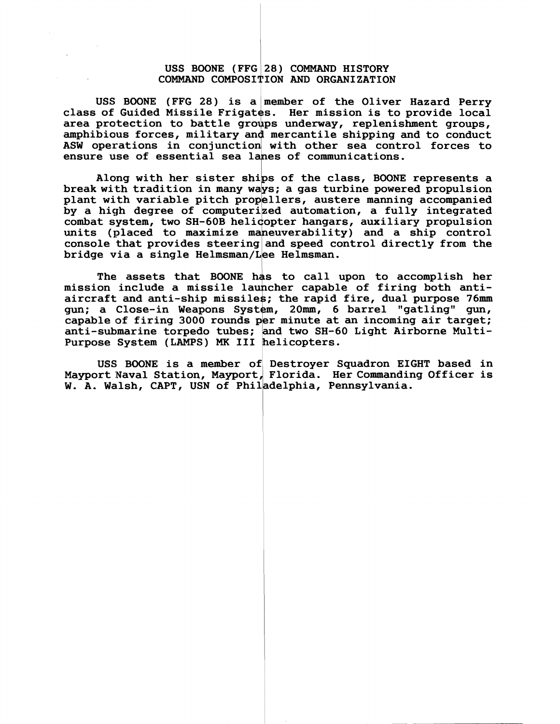## **USS BONE (FFG 28) COMMAND HISTORY COMMAND COMPOSITION AND ORGANIZATION**

**USS BOONE (FFG 28) is a member of the Oliver Hazard Perry**  class of Guided Missile Frigates. Her mission is to provide local area protection to battle groups underway, replenishment groups, amphibious forces, military and mercantile shipping and to conduct amphibious forces, military and mercantile shipping and to conduct ASW operations in conjunction with other sea control forces to **ensure use of essential sea lanes of conmunications.** 

**Along with her sister ships of the class, BOONE represents a**  break with tradition in many ways; a gas turbine powered propulsion **plant with variable pitch propellers, austere manning accompanied by a high degree of computerized automation, a fully integrated**  combat system, two SH-60B helicopter hangars, auxiliary propulsion **units (placed to maximize maneuverability) and a ship control**<br>console that provides steering and speed control directly from the<br>bridge via a single Helmsman/Lee Helmsman bridge via a single Helmsman/Lee Helmsman.

The assets that BOONE has to call upon to accomplish her mission include a missile launcher capable of firing both antiaircraft and anti-ship missiles; the rapid fire, dual purpose 76mm gun; a Close-in Weapons System, 20mm, 6 barrel "gatling" gun, capable of firing 3000 rounds per minute at an incoming air target; anti-submarine torpedo tubes; and two SH-60 Light Airborne Multi-Purpose System (LAMPS) MK III helicopters.

**USS BOONE is a member of Destroyer Squadron EIGHT based in**  Mayport Naval Station, Mayport, Florida. Her Commanding Officer is W. A. Walsh, CAPT, USN of Philadelphia, Pennsylvania.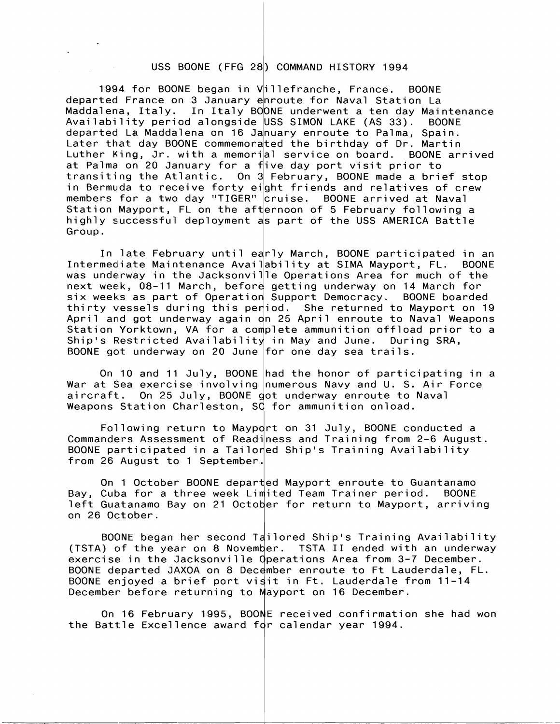## USS BOONE (FFG 28) COMMAND HISTORY 1994

1994 for BOONE began in Villefranche, France. BOONE departed France on 3 January e<mark>nroute for Naval Station La</mark> Maddalena, Italy. In Italy BO<mark>ONE underwent a ten day Maintenance</mark> Availability period alongside USS SIMON LAKE (AS 33). BOONE departed La Maddalena on 16 Ja<mark>nuary enroute to Palma, Spain.</mark> Later that day BOONE commemora<mark>ted the birthday of Dr. Martin</mark> Luther King, Jr. with a memori<mark>al service on board. BOONE arrived</mark> at Palma on 20 January for a five day port visit prior to transiting the Atlantic. On 3 February, BOONE made a brief stop in Bermuda to receive forty eight friends and relatives of crew members for a two day "TIGER" <mark>cruise. BOONE arrived at Naval</mark> Station Mayport, FL on the afternoon of 5 February following a highly successful deployment a<mark>s part of the USS AMERICA Battle</mark> Group.

In late February until early March, BOONE participated in an<br>Intermediate Maintenance Availability at SIMA Mayport, FL. BOONE was underway in the Jacksonville Operations Area for much of the next week, 08-11 March, before getting underway on 14 March for six weeks as part of Operation Support Democracy. BOONE boarded thirty vessels during this period. She returned to Mayport on 19 April and got underway again o<mark>n 25 April enroute to Naval Weapons</mark> next week, 08-11 March, before getting underway on 14 March for<br>six weeks as part of Operation Support Democracy. BOONE boarded<br>thirty vessels during this period. She returned to Mayport on 19<br>April and got underway again Ship's Restricted Availability in May and June. During SRA, BOONE got underway on 20 June for one day sea trails.

On 10 and 11 July, BOONE had the honor of participating in a War at Sea exercise involving numerous Navy and U. S. Air Force aircraft. On 25 July, BOONE got underway enroute to Naval Weapons Station Charleston, SC for ammunition onload.

Following return to Mayport on 31 July, BOONE conducted a Commanders Assessment of Readiness and Training from 2-6 August. BOONE participated in a Tailored Ship's Training Availability from 26 August to 1 September.

On 1 October BOONE departed Mayport enroute to Guantanamo Bay, Cuba for a three week Limited Team Trainer period. BOONE left Guatanamo Bay on 21 October for return to Mayport, arriving on 26 October.

BOONE began her second Tailored Ship's Training Availability (TSTA) of the year on 8 November. TSTA II ended with an underway exercise in the Jacksonville Operations Area from 3-7 December. BOONE departed JAXOA on 8 December enroute to Ft Lauderdale, FL. BOONE enjoyed a brief port visit in Ft. Lauderdale from 11-14 December before returning to Mayport on 16 December.

On 16 February 1995, BOONE received confirmation she had won the Battle Excellence award for calendar year 1994.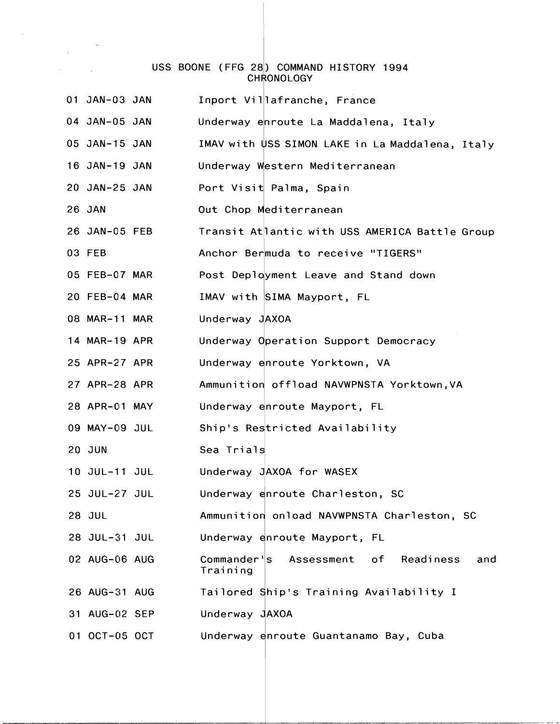## USS BOONE (FFG 28) COMMAND HISTORY 1994 CHRONOLOGY

 $\mathcal{L}(\mathcal{A})$  and  $\mathcal{L}(\mathcal{A})$ 

| 01 JAN-03 JAN | Inport Villafranche, France                            |
|---------------|--------------------------------------------------------|
| 04 JAN-05 JAN | Underway enroute La Maddalena, Italy                   |
| 05 JAN-15 JAN | IMAV with USS SIMON LAKE in La Maddalena, Italy        |
| 16 JAN-19 JAN | Underway Western Mediterranean                         |
| 20 JAN-25 JAN | Port Visit Palma, Spain                                |
| 26 JAN        | Out Chop Mediterranean                                 |
| 26 JAN-05 FEB | Transit Atlantic with USS AMERICA Battle Group         |
| 03 FEB        | Anchor Bermuda to receive "TIGERS"                     |
| 05 FEB-07 MAR | Post Deployment Leave and Stand down                   |
| 20 FEB-04 MAR | IMAV with SIMA Mayport, FL                             |
| 08 MAR-11 MAR | Underway JAXOA                                         |
| 14 MAR-19 APR | Underway Operation Support Democracy                   |
| 25 APR-27 APR | Underway enroute Yorktown, VA                          |
| 27 APR-28 APR | Ammunition offload NAVWPNSTA Yorktown, VA              |
| 28 APR-01 MAY | Underway enroute Mayport, FL                           |
| 09 MAY-09 JUL | Ship's Restricted Availability                         |
| <b>20 JUN</b> | Sea Trials                                             |
| 10 JUL-11 JUL | Underway JAXOA for WASEX                               |
| 25 JUL-27 JUL | Underway enroute Charleston, SC                        |
| 28 JUL        | Ammunition onload NAVWPNSTA Charleston, SC             |
| 28 JUL-31 JUL | Underway enroute Mayport, FL                           |
| 02 AUG-06 AUG | Commander's Assessment of Readiness<br>and<br>Training |
| 26 AUG-31 AUG | Tailored Ship's Training Availability I                |
| 31 AUG-02 SEP | Underway JAXOA                                         |
| 01 OCT-05 OCT | Underway enroute Guantanamo Bay, Cuba                  |